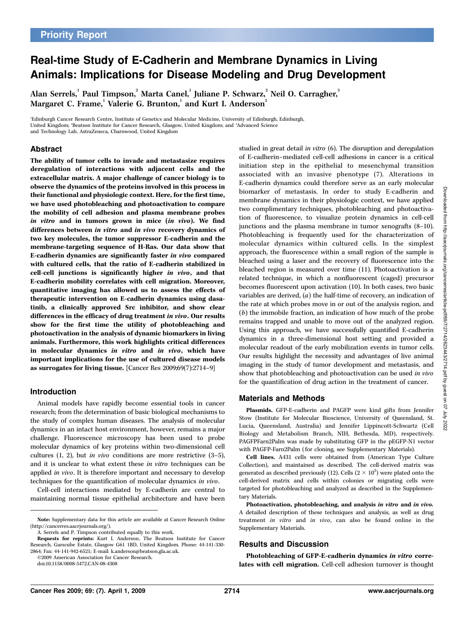# Real-time Study of E-Cadherin and Membrane Dynamics in Living Animals: Implications for Disease Modeling and Drug Development

Alan Serrels,<sup>1</sup> Paul Timpson,<sup>2</sup> Marta Canel,<sup>1</sup> Juliane P. Schwarz,<sup>2</sup> Neil O. Carragher,<sup>3</sup> Margaret C. Frame, $^{\rm l}$  Valerie G. Brunton, $^{\rm l}$  and Kurt I. Anderson $^{\rm l}$ 

1 Edinburgh Cancer Research Centre, Institute of Genetics and Molecular Medicine, University of Edinburgh, Edinburgh, United Kingdom; <sup>2</sup>Beatson Institute for Cancer Research, Glasgow, United Kingdom; and <sup>3</sup>Advanced Science and Technology Lab, AstraZeneca, Charnwood, United Kingdom

## Abstract

The ability of tumor cells to invade and metastasize requires deregulation of interactions with adjacent cells and the extracellular matrix. A major challenge of cancer biology is to observe the dynamics of the proteins involved in this process in their functional and physiologic context. Here, for the first time, we have used photobleaching and photoactivation to compare the mobility of cell adhesion and plasma membrane probes in vitro and in tumors grown in mice (in vivo). We find differences between in vitro and in vivo recovery dynamics of two key molecules, the tumor suppressor E-cadherin and the membrane-targeting sequence of H-Ras. Our data show that E-cadherin dynamics are significantly faster in vivo compared with cultured cells, that the ratio of E-cadherin stabilized in cell-cell junctions is significantly higher in vivo, and that E-cadherin mobility correlates with cell migration. Moreover, quantitative imaging has allowed us to assess the effects of therapeutic intervention on E-cadherin dynamics using dasatinib, a clinically approved Src inhibitor, and show clear differences in the efficacy of drug treatment in vivo. Our results show for the first time the utility of photobleaching and photoactivation in the analysis of dynamic biomarkers in living animals. Furthermore, this work highlights critical differences in molecular dynamics in vitro and in vivo, which have important implications for the use of cultured disease models as surrogates for living tissue. [Cancer Res 2009;69(7):2714–9]

### Introduction

Animal models have rapidly become essential tools in cancer research; from the determination of basic biological mechanisms to the study of complex human diseases. The analysis of molecular dynamics in an intact host environment, however, remains a major challenge. Fluorescence microscopy has been used to probe molecular dynamics of key proteins within two-dimensional cell cultures (1, 2), but in vivo conditions are more restrictive (3–5), and it is unclear to what extent these in vitro techniques can be applied in vivo. It is therefore important and necessary to develop techniques for the quantification of molecular dynamics in vivo.

Cell-cell interactions mediated by E-cadherin are central to maintaining normal tissue epithelial architecture and have been

©2009 American Association for Cancer Research.

doi:10.1158/0008-5472.CAN-08-4308

studied in great detail in vitro (6). The disruption and deregulation of E-cadherin–mediated cell-cell adhesions in cancer is a critical initiation step in the epithelial to mesenchymal transition associated with an invasive phenotype (7). Alterations in E-cadherin dynamics could therefore serve as an early molecular biomarker of metastasis. In order to study E-cadherin and membrane dynamics in their physiologic context, we have applied two complimentary techniques, photobleaching and photoactivation of fluorescence, to visualize protein dynamics in cell-cell junctions and the plasma membrane in tumor xenografts (8–10). Photobleaching is frequently used for the characterization of molecular dynamics within cultured cells. In the simplest approach, the fluorescence within a small region of the sample is bleached using a laser and the recovery of fluorescence into the bleached region is measured over time (11). Photoactivation is a related technique, in which a nonfluorescent (caged) precursor becomes fluorescent upon activation (10). In both cases, two basic variables are derived,  $(a)$  the half-time of recovery, an indication of the rate at which probes move in or out of the analysis region, and (b) the immobile fraction, an indication of how much of the probe remains trapped and unable to move out of the analyzed region. Using this approach, we have successfully quantified E-cadherin dynamics in a three-dimensional host setting and provided a molecular readout of the early mobilization events in tumor cells. Our results highlight the necessity and advantages of live animal imaging in the study of tumor development and metastasis, and show that photobleaching and photoactivation can be used in vivo for the quantification of drug action in the treatment of cancer.

### Materials and Methods

Plasmids. GFP-E-cadherin and PAGFP were kind gifts from Jennifer Stow (Institute for Molecular Bioscience, University of Queensland, St. Lucia, Queensland, Australia) and Jennifer Lippincott-Schwartz (Cell Biology and Metabolism Branch, NIH, Bethesda, MD), respectively. PAGFPFarn2Palm was made by substituting GFP in the pEGFP-N1 vector with PAGFP-Farn2Palm (for cloning, see Supplementary Materials).

Cell lines. A431 cells were obtained from (American Type Culture Collection), and maintained as described. The cell-derived matrix was generated as described previously (12). Cells (2  $\times$  10<sup>5</sup>) were plated onto the cell-derived matrix and cells within colonies or migrating cells were targeted for photobleaching and analyzed as described in the Supplementary Materials.

Photoactivation, photobleaching, and analysis in vitro and in vivo. A detailed description of these techniques and analysis, as well as drug treatment in vitro and in vivo, can also be found online in the Supplementary Materials.

## Results and Discussion

Photobleaching of GFP-E-cadherin dynamics in vitro correlates with cell migration. Cell-cell adhesion turnover is thought

Note: Supplementary data for this article are available at Cancer Research Online (http://cancerres.aacrjournals.org/).

A. Serrels and P. Timpson contributed equally to this work.

Requests for reprints: Kurt I. Anderson, The Beatson Institute for Cancer Research, Garscube Estate, Glasgow G61 1BD, United Kingdom. Phone: 44-141-330- 2864; Fax: 44-141-942-6521; E-mail: k.anderson@beatson.gla.ac.uk.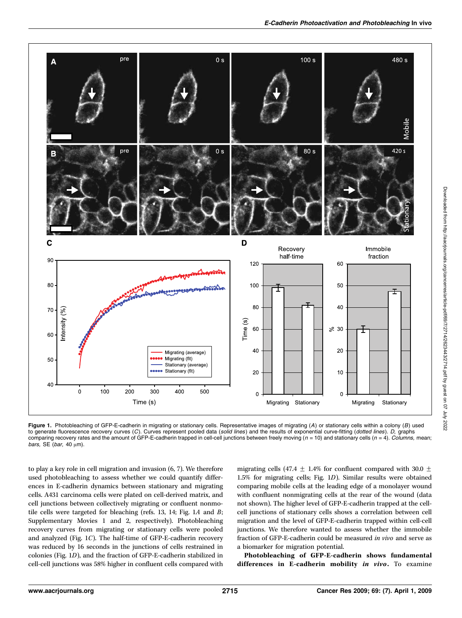

Downloaded from http://aacrjournals.org/cancerres/article-pdf/69/7/2714/2623443/2714.pdf by guest on 07 July 2022 Downloaded from http://aacrjournals.org/cancerres/article-pdf/69/7/2714/2623443/2714.pdf by guest on 07 July 2022

Figure 1. Photobleaching of GFP-E-cadherin in migrating or stationary cells. Representative images of migrating (A) or stationary cells within a colony (B) used to generate fluorescence recovery curves (C). Curves represent pooled data (solid lines) and the results of exponential curve-fitting (dotted lines). D, graphs comparing recovery rates and the amount of GFP-E-cadherin trapped in cell-cell junctions between freely moving ( $n = 10$ ) and stationary cells ( $n = 4$ ). Columns, mean; bars,  $SE(bar, 40 \mu m)$ .

to play a key role in cell migration and invasion (6, 7). We therefore used photobleaching to assess whether we could quantify differences in E-cadherin dynamics between stationary and migrating cells. A431 carcinoma cells were plated on cell-derived matrix, and cell junctions between collectively migrating or confluent nonmotile cells were targeted for bleaching (refs. 13, 14; Fig. 1A and B; Supplementary Movies 1 and 2, respectively). Photobleaching recovery curves from migrating or stationary cells were pooled and analyzed (Fig. 1C). The half-time of GFP-E-cadherin recovery was reduced by 16 seconds in the junctions of cells restrained in colonies (Fig. 1D), and the fraction of GFP-E-cadherin stabilized in cell-cell junctions was 58% higher in confluent cells compared with migrating cells (47.4  $\pm$  1.4% for confluent compared with 30.0  $\pm$ 1.5% for migrating cells; Fig. 1D). Similar results were obtained comparing mobile cells at the leading edge of a monolayer wound with confluent nonmigrating cells at the rear of the wound (data not shown). The higher level of GFP-E-cadherin trapped at the cellcell junctions of stationary cells shows a correlation between cell migration and the level of GFP-E-cadherin trapped within cell-cell junctions. We therefore wanted to assess whether the immobile fraction of GFP-E-cadherin could be measured in vivo and serve as a biomarker for migration potential.

Photobleaching of GFP-E-cadherin shows fundamental differences in E-cadherin mobility in vivo. To examine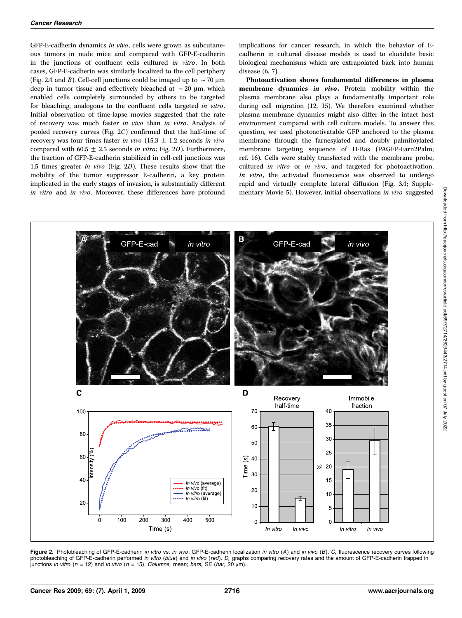GFP-E-cadherin dynamics in vivo, cells were grown as subcutaneous tumors in nude mice and compared with GFP-E-cadherin in the junctions of confluent cells cultured in vitro. In both cases, GFP-E-cadherin was similarly localized to the cell periphery (Fig. 2A and B). Cell-cell junctions could be imaged up to  $\sim$  70  $\mu$ m deep in tumor tissue and effectively bleached at  $\sim$  20  $\mu$ m, which enabled cells completely surrounded by others to be targeted for bleaching, analogous to the confluent cells targeted in vitro. Initial observation of time-lapse movies suggested that the rate of recovery was much faster in vivo than in vitro. Analysis of pooled recovery curves (Fig. 2C) confirmed that the half-time of recovery was four times faster in vivo (15.3  $\pm$  1.2 seconds in vivo compared with 60.5  $\pm$  2.5 seconds in vitro; Fig. 2D). Furthermore, the fraction of GFP-E-cadherin stabilized in cell-cell junctions was 1.5 times greater in vivo (Fig. 2D). These results show that the mobility of the tumor suppressor E-cadherin, a key protein implicated in the early stages of invasion, is substantially different in vitro and in vivo. Moreover, these differences have profound implications for cancer research, in which the behavior of Ecadherin in cultured disease models is used to elucidate basic biological mechanisms which are extrapolated back into human disease (6, 7).

Photoactivation shows fundamental differences in plasma membrane dynamics in vivo. Protein mobility within the plasma membrane also plays a fundamentally important role during cell migration (12, 15). We therefore examined whether plasma membrane dynamics might also differ in the intact host environment compared with cell culture models. To answer this question, we used photoactivatable GFP anchored to the plasma membrane through the farnesylated and doubly palmitoylated membrane targeting sequence of H-Ras (PAGFP-Farn2Palm; ref. 16). Cells were stably transfected with the membrane probe, cultured in vitro or in vivo, and targeted for photoactivation. In vitro, the activated fluorescence was observed to undergo rapid and virtually complete lateral diffusion (Fig. 3A; Supplementary Movie 5). However, initial observations in vivo suggested



Figure 2. Photobleaching of GFP-E-cadherin in vitro vs. in vivo. GFP-E-cadherin localization in vitro (A) and in vivo (B). C, fluorescence recovery curves following photobleaching of GFP-E-cadherin performed in vitro (blue) and in vivo (red). D, graphs comparing recovery rates and the amount of GFP-E-cadherin trapped in junctions in vitro (n = 12) and in vivo (n = 15). Columns, mean; bars, SE (bar, 20  $\mu$ m).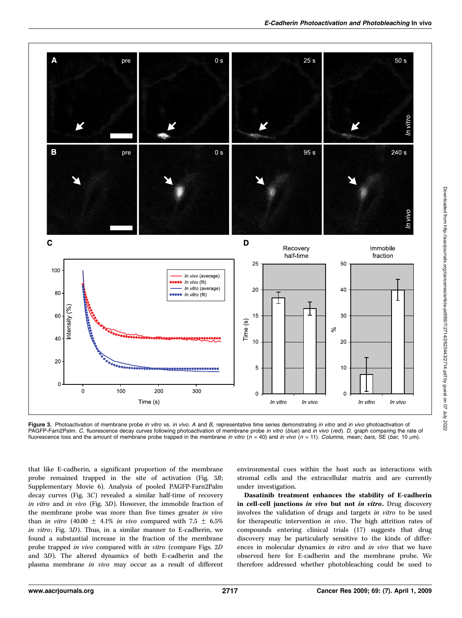

Figure 3. Photoactivation of membrane probe in vitro vs. in vivo. A and B, representative time series demonstrating in vitro and in vivo photoactivation of PAGFP-Farn2Palm. C, fluorescence decay curves following photoactivation of membrane probe in vitro (blue) and in vivo (red). D, graph comparing the rate of fluorescence loss and the amount of membrane probe trapped in the membrane in vitro (n = 40) and in vivo (n = 11). Columns, mean; bars, SE (bar, 10  $\mu$ m).

that like E-cadherin, a significant proportion of the membrane probe remained trapped in the site of activation (Fig. 3B; Supplementary Movie 6). Analysis of pooled PAGFP-Farn2Palm decay curves (Fig. 3C) revealed a similar half-time of recovery in vitro and in vivo (Fig. 3D). However, the immobile fraction of the membrane probe was more than five times greater in vivo than *in vitro* (40.00  $\pm$  4.1% *in vivo* compared with 7.5  $\pm$  6.5% in vitro; Fig. 3D). Thus, in a similar manner to E-cadherin, we found a substantial increase in the fraction of the membrane probe trapped in vivo compared with in vitro (compare Figs. 2D and 3D). The altered dynamics of both E-cadherin and the plasma membrane in vivo may occur as a result of different environmental cues within the host such as interactions with stromal cells and the extracellular matrix and are currently under investigation.

Dasatinib treatment enhances the stability of E-cadherin in cell-cell junctions in vivo but not in vitro. Drug discovery involves the validation of drugs and targets in vitro to be used for therapeutic intervention in vivo. The high attrition rates of compounds entering clinical trials (17) suggests that drug discovery may be particularly sensitive to the kinds of differences in molecular dynamics in vitro and in vivo that we have observed here for E-cadherin and the membrane probe. We therefore addressed whether photobleaching could be used to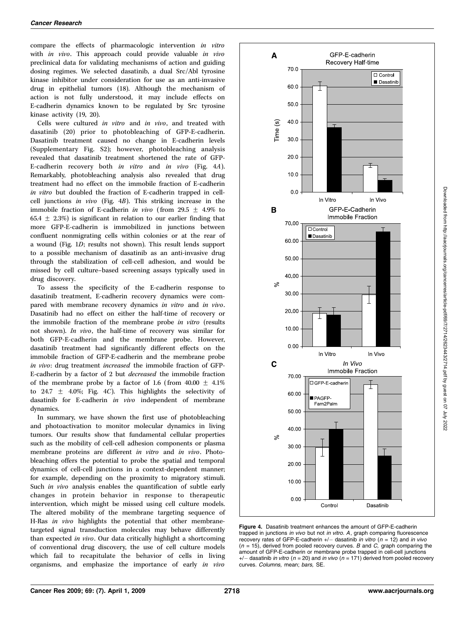compare the effects of pharmacologic intervention in vitro with *in vivo*. This approach could provide valuable *in vivo* preclinical data for validating mechanisms of action and guiding dosing regimes. We selected dasatinib, a dual Src/Abl tyrosine kinase inhibitor under consideration for use as an anti-invasive drug in epithelial tumors (18). Although the mechanism of action is not fully understood, it may include effects on E-cadherin dynamics known to be regulated by Src tyrosine kinase activity (19, 20).

Cells were cultured in vitro and in vivo, and treated with dasatinib (20) prior to photobleaching of GFP-E-cadherin. Dasatinib treatment caused no change in E-cadherin levels (Supplementary Fig. S2); however, photobleaching analysis revealed that dasatinib treatment shortened the rate of GFP-E-cadherin recovery both in vitro and in vivo (Fig. 4A). Remarkably, photobleaching analysis also revealed that drug treatment had no effect on the immobile fraction of E-cadherin in vitro but doubled the fraction of E-cadherin trapped in cellcell junctions in vivo (Fig. 4B). This striking increase in the immobile fraction of E-cadherin in vivo (from 29.5  $\pm$  4.9% to 65.4  $\pm$  2.3%) is significant in relation to our earlier finding that more GFP-E-cadherin is immobilized in junctions between confluent nonmigrating cells within colonies or at the rear of a wound (Fig. 1D; results not shown). This result lends support to a possible mechanism of dasatinib as an anti-invasive drug through the stabilization of cell-cell adhesion, and would be missed by cell culture–based screening assays typically used in drug discovery.

To assess the specificity of the E-cadherin response to dasatinib treatment, E-cadherin recovery dynamics were compared with membrane recovery dynamics in vitro and in vivo. Dasatinib had no effect on either the half-time of recovery or the immobile fraction of the membrane probe in vitro (results not shown). In vivo, the half-time of recovery was similar for both GFP-E-cadherin and the membrane probe. However, dasatinib treatment had significantly different effects on the immobile fraction of GFP-E-cadherin and the membrane probe in vivo: drug treatment increased the immobile fraction of GFP-E-cadherin by a factor of 2 but decreased the immobile fraction of the membrane probe by a factor of 1.6 (from  $40.00 \pm 4.1\%$ to 24.7  $\pm$  4.0%; Fig. 4C). This highlights the selectivity of dasatinib for E-cadherin in vivo independent of membrane dynamics.

In summary, we have shown the first use of photobleaching and photoactivation to monitor molecular dynamics in living tumors. Our results show that fundamental cellular properties such as the mobility of cell-cell adhesion components or plasma membrane proteins are different in vitro and in vivo. Photobleaching offers the potential to probe the spatial and temporal dynamics of cell-cell junctions in a context-dependent manner; for example, depending on the proximity to migratory stimuli. Such *in vivo* analysis enables the quantification of subtle early changes in protein behavior in response to therapeutic intervention, which might be missed using cell culture models. The altered mobility of the membrane targeting sequence of H-Ras in vivo highlights the potential that other membranetargeted signal transduction molecules may behave differently than expected in vivo. Our data critically highlight a shortcoming of conventional drug discovery, the use of cell culture models which fail to recapitulate the behavior of cells in living organisms, and emphasize the importance of early in vivo



Figure 4. Dasatinib treatment enhances the amount of GFP-E-cadherin trapped in junctions in vivo but not in vitro. A, graph comparing fluorescence recovery rates of GFP-E-cadherin  $+/-$  dasatinib in vitro (n = 12) and in vivo  $(n = 15)$ , derived from pooled recovery curves. B and C, graph comparing the amount of GFP-E-cadherin or membrane probe trapped in cell-cell junctions  $+/-$  dasatinib *in vitro* ( $n = 20$ ) and *in vivo* ( $n = 171$ ) derived from pooled recovery curves. Columns, mean; bars, SE.